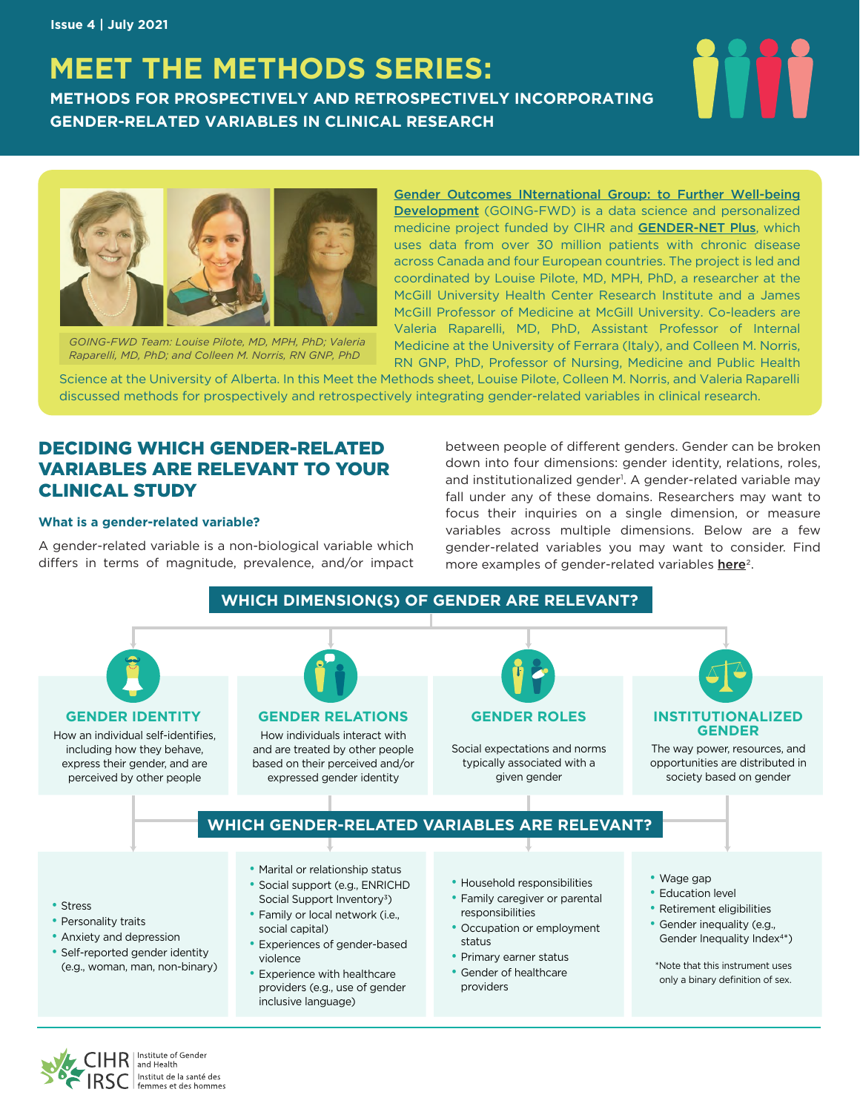# **MEET THE METHODS SERIES:**

**METHODS FOR PROSPECTIVELY AND RETROSPECTIVELY INCORPORATING GENDER-RELATED VARIABLES IN CLINICAL RESEARCH**



*GOING-FWD Team: Louise Pilote, MD, MPH, PhD; Valeria Raparelli, MD, PhD; and Colleen M. Norris, RN GNP, PhD*

[Gender Outcomes INternational Group: to Further Well-being](https://www.mcgill.ca/going-fwd4gender/)  [Development](https://www.mcgill.ca/going-fwd4gender/) (GOING-FWD) is a data science and personalized medicine project funded by CIHR and **[GENDER-NET Plus](http://gender-net-plus.eu/)**, which uses data from over 30 million patients with chronic disease across Canada and four European countries. The project is led and coordinated by Louise Pilote, MD, MPH, PhD, a researcher at the McGill University Health Center Research Institute and a James McGill Professor of Medicine at McGill University. Co-leaders are Valeria Raparelli, MD, PhD, Assistant Professor of Internal Medicine at the University of Ferrara (Italy), and Colleen M. Norris, RN GNP, PhD, Professor of Nursing, Medicine and Public Health

Science at the University of Alberta. In this Meet the Methods sheet, Louise Pilote, Colleen M. Norris, and Valeria Raparelli discussed methods for prospectively and retrospectively integrating gender-related variables in clinical research.

# DECIDING WHICH GENDER-RELATED VARIABLES ARE RELEVANT TO YOUR CLINICAL STUDY

#### **What is a gender-related variable?**

A gender-related variable is a non-biological variable which differs in terms of magnitude, prevalence, and/or impact between people of different genders. Gender can be broken down into four dimensions: gender identity, relations, roles, and institutionalized gender<sup>1</sup>. A gender-related variable may fall under any of these domains. Researchers may want to focus their inquiries on a single dimension, or measure variables across multiple dimensions. Below are a few gender-related variables you may want to consider. Find more examples of gender-related variables [here](https://gh.bmj.com/content/6/4/e005413)<sup>2</sup>.

### **WHICH DIMENSION(S) OF GENDER ARE RELEVANT?**





Institute of Gender<br>and Health Institut de la santé des femmes et des hommes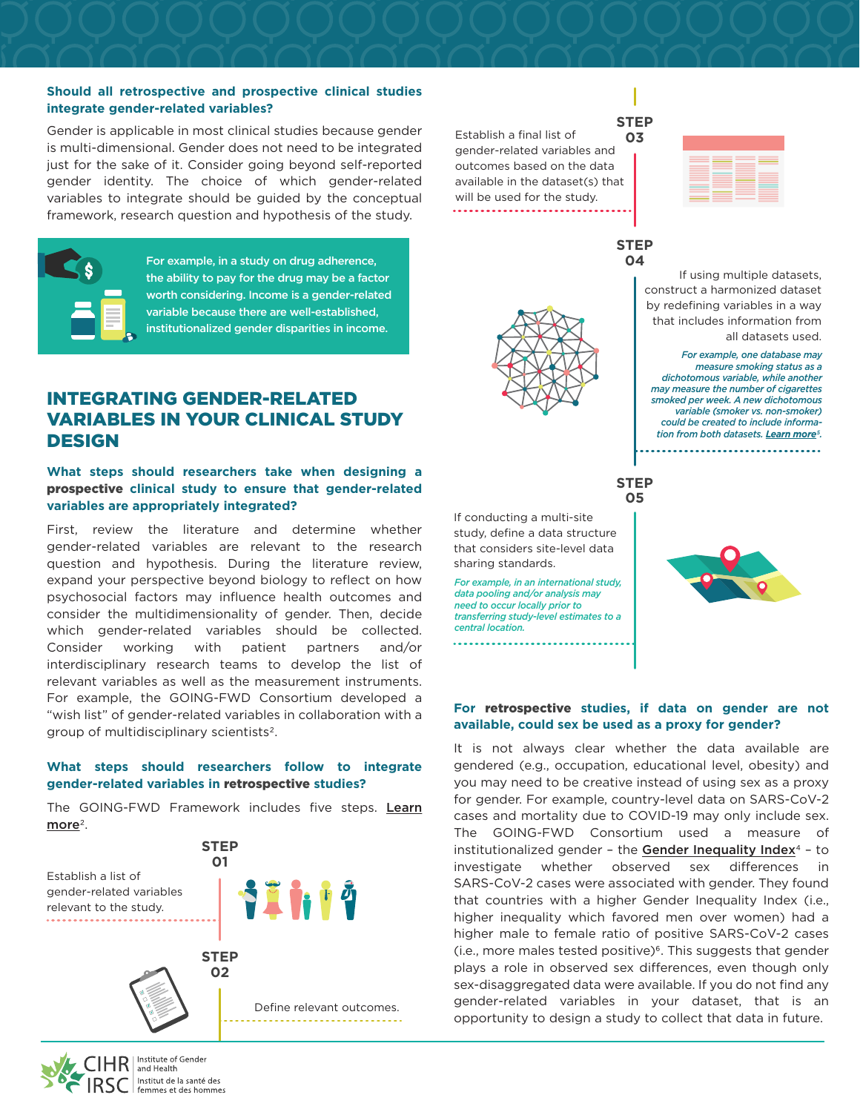#### **Should all retrospective and prospective clinical studies integrate gender-related variables?**

Gender is applicable in most clinical studies because gender is multi-dimensional. Gender does not need to be integrated just for the sake of it. Consider going beyond self-reported gender identity. The choice of which gender-related variables to integrate should be guided by the conceptual framework, research question and hypothesis of the study.



For example, in a study on drug adherence, the ability to pay for the drug may be a factor worth considering. Income is a gender-related variable because there are well-established, institutionalized gender disparities in income.

# INTEGRATING GENDER-RELATED VARIABLES IN YOUR CLINICAL STUDY DESIGN

#### **What steps should researchers take when designing a**  prospective **clinical study to ensure that gender-related variables are appropriately integrated?**

First, review the literature and determine whether gender-related variables are relevant to the research question and hypothesis. During the literature review, expand your perspective beyond biology to reflect on how psychosocial factors may influence health outcomes and consider the multidimensionality of gender. Then, decide which gender-related variables should be collected. Consider working with patient partners and/or interdisciplinary research teams to develop the list of relevant variables as well as the measurement instruments. For example, the GOING-FWD Consortium developed a "wish list" of gender-related variables in collaboration with a group of multidisciplinary scientists2.

#### **What steps should researchers follow to integrate gender-related variables in** retrospective **studies?**

The GOING-FWD Framework includes five steps. Learn  $more<sup>2</sup>$  $more<sup>2</sup>$ .



Institut de la santé des femmes et des hommes

If conducting a multi-site study, define a data structure that considers site-level data sharing standards.

*For example, in an international study, data pooling and/or analysis may need to occur locally prior to transferring study-level estimates to a central location.*



Establish a final list of **03** gender-related variables and outcomes based on the data available in the dataset(s) that will be used for the study. ........................

> **STEP 04**

> > If using multiple datasets, construct a harmonized dataset by redefining variables in a way that includes information from all datasets used.

*For example, one database may measure smoking status as a dichotomous variable, while another may measure the number of cigarettes smoked per week. A new dichotomous variable (smoker vs. non-smoker) could be created to include information from both datasets. [Learn more](https://www.ncbi.nlm.nih.gov/pmc/articles/PMC5407152/)5.*

-----------------------------

**STEP 05**



#### **For** retrospective **studies, if data on gender are not available, could sex be used as a proxy for gender?**

It is not always clear whether the data available are gendered (e.g., occupation, educational level, obesity) and you may need to be creative instead of using sex as a proxy for gender. For example, country-level data on SARS-CoV-2 cases and mortality due to COVID-19 may only include sex. The GOING-FWD Consortium used a measure of institutionalized gender - the [Gender Inequality Index](http://hdr.undp.org/en/content/gender-inequality-index-gii) $4$  - to investigate whether observed sex differences in SARS-CoV-2 cases were associated with gender. They found that countries with a higher Gender Inequality Index (i.e., higher inequality which favored men over women) had a higher male to female ratio of positive SARS-CoV-2 cases (i.e., more males tested positive)<sup>6</sup>. This suggests that gender plays a role in observed sex differences, even though only sex-disaggregated data were available. If you do not find any gender-related variables in your dataset, that is an opportunity to design a study to collect that data in future.